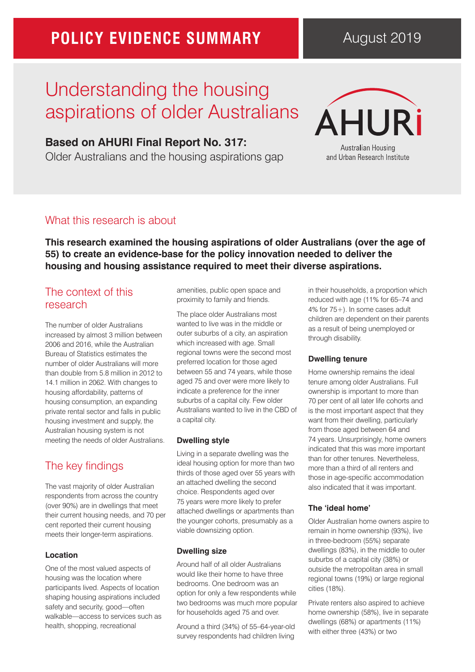# **POLICY EVIDENCE SUMMARY**

# Understanding the housing aspirations of older Australians

## **Based on AHURI Final Report No. 317:**

Older Australians and the housing aspirations gap



and Urban Research Institute

## What this research is about

**This research examined the housing aspirations of older Australians (over the age of 55) to create an evidence-base for the policy innovation needed to deliver the housing and housing assistance required to meet their diverse aspirations.** 

## The context of this research

The number of older Australians increased by almost 3 million between 2006 and 2016, while the Australian Bureau of Statistics estimates the number of older Australians will more than double from 5.8 million in 2012 to 14.1 million in 2062. With changes to housing affordability, patterns of housing consumption, an expanding private rental sector and falls in public housing investment and supply, the Australian housing system is not meeting the needs of older Australians.

# The key findings

The vast majority of older Australian respondents from across the country (over 90%) are in dwellings that meet their current housing needs, and 70 per cent reported their current housing meets their longer-term aspirations.

### **Location**

One of the most valued aspects of housing was the location where participants lived. Aspects of location shaping housing aspirations included safety and security, good—often walkable—access to services such as health, shopping, recreational

amenities, public open space and proximity to family and friends.

The place older Australians most wanted to live was in the middle or outer suburbs of a city, an aspiration which increased with age. Small regional towns were the second most preferred location for those aged between 55 and 74 years, while those aged 75 and over were more likely to indicate a preference for the inner suburbs of a capital city. Few older Australians wanted to live in the CBD of a capital city.

### **Dwelling style**

Living in a separate dwelling was the ideal housing option for more than two thirds of those aged over 55 years with an attached dwelling the second choice. Respondents aged over 75 years were more likely to prefer attached dwellings or apartments than the younger cohorts, presumably as a viable downsizing option.

## **Dwelling size**

Around half of all older Australians would like their home to have three bedrooms. One bedroom was an option for only a few respondents while two bedrooms was much more popular for households aged 75 and over.

Around a third (34%) of 55–64-year-old survey respondents had children living

in their households, a proportion which reduced with age (11% for 65–74 and 4% for 75+). In some cases adult children are dependent on their parents as a result of being unemployed or through disability.

## **Dwelling tenure**

Home ownership remains the ideal tenure among older Australians. Full ownership is important to more than 70 per cent of all later life cohorts and is the most important aspect that they want from their dwelling, particularly from those aged between 64 and 74 years. Unsurprisingly, home owners indicated that this was more important than for other tenures. Nevertheless, more than a third of all renters and those in age-specific accommodation also indicated that it was important.

## **The 'ideal home'**

Older Australian home owners aspire to remain in home ownership (93%), live in three-bedroom (55%) separate dwellings (83%), in the middle to outer suburbs of a capital city (38%) or outside the metropolitan area in small regional towns (19%) or large regional cities (18%).

Private renters also aspired to achieve home ownership (58%), live in separate dwellings (68%) or apartments (11%) with either three (43%) or two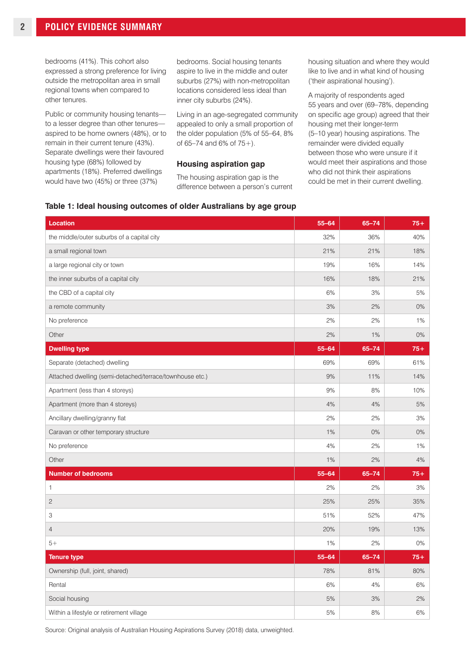bedrooms (41%). This cohort also expressed a strong preference for living outside the metropolitan area in small regional towns when compared to other tenures.

Public or community housing tenants to a lesser degree than other tenures aspired to be home owners (48%), or to remain in their current tenure (43%). Separate dwellings were their favoured housing type (68%) followed by apartments (18%). Preferred dwellings would have two (45%) or three (37%)

bedrooms. Social housing tenants aspire to live in the middle and outer suburbs (27%) with non-metropolitan locations considered less ideal than inner city suburbs (24%).

Living in an age-segregated community appealed to only a small proportion of the older population (5% of 55–64, 8% of  $65-74$  and  $6\%$  of  $75+$ ).

#### **Housing aspiration gap**

**Table 1: Ideal housing outcomes of older Australians by age group**

The housing aspiration gap is the difference between a person's current housing situation and where they would like to live and in what kind of housing ('their aspirational housing').

A majority of respondents aged 55 years and over (69–78%, depending on specific age group) agreed that their housing met their longer-term (5–10 year) housing aspirations. The remainder were divided equally between those who were unsure if it would meet their aspirations and those who did not think their aspirations could be met in their current dwelling.

| <b>Location</b>                                          | $55 - 64$ | $65 - 74$ | $75+$ |
|----------------------------------------------------------|-----------|-----------|-------|
| the middle/outer suburbs of a capital city               | 32%       | 36%       | 40%   |
| a small regional town                                    | 21%       | 21%       | 18%   |
| a large regional city or town                            | 19%       | 16%       | 14%   |
| the inner suburbs of a capital city                      | 16%       | 18%       | 21%   |
| the CBD of a capital city                                | 6%        | 3%        | 5%    |
| a remote community                                       | 3%        | 2%        | 0%    |
| No preference                                            | 2%        | 2%        | 1%    |
| Other                                                    | 2%        | 1%        | 0%    |
| <b>Dwelling type</b>                                     | $55 - 64$ | $65 - 74$ | $75+$ |
| Separate (detached) dwelling                             | 69%       | 69%       | 61%   |
| Attached dwelling (semi-detached/terrace/townhouse etc.) | 9%        | 11%       | 14%   |
| Apartment (less than 4 storeys)                          | 9%        | 8%        | 10%   |
| Apartment (more than 4 storeys)                          | 4%        | 4%        | 5%    |
| Ancillary dwelling/granny flat                           | 2%        | 2%        | 3%    |
| Caravan or other temporary structure                     | 1%        | 0%        | 0%    |
| No preference                                            | 4%        | 2%        | 1%    |
| Other                                                    | 1%        | 2%        | 4%    |
| <b>Number of bedrooms</b>                                | $55 - 64$ | $65 - 74$ | $75+$ |
| 1                                                        | 2%        | 2%        | 3%    |
| $\mathbf{2}$                                             | 25%       | 25%       | 35%   |
| 3                                                        | 51%       | 52%       | 47%   |
| $\overline{4}$                                           | 20%       | 19%       | 13%   |
| $5+$                                                     | 1%        | 2%        | $0\%$ |
| <b>Tenure type</b>                                       | $55 - 64$ | $65 - 74$ | $75+$ |
| Ownership (full, joint, shared)                          | 78%       | 81%       | 80%   |
| Rental                                                   | 6%        | 4%        | 6%    |
| Social housing                                           | 5%        | 3%        | 2%    |
| Within a lifestyle or retirement village                 | 5%        | 8%        | 6%    |

Source: Original analysis of Australian Housing Aspirations Survey (2018) data, unweighted.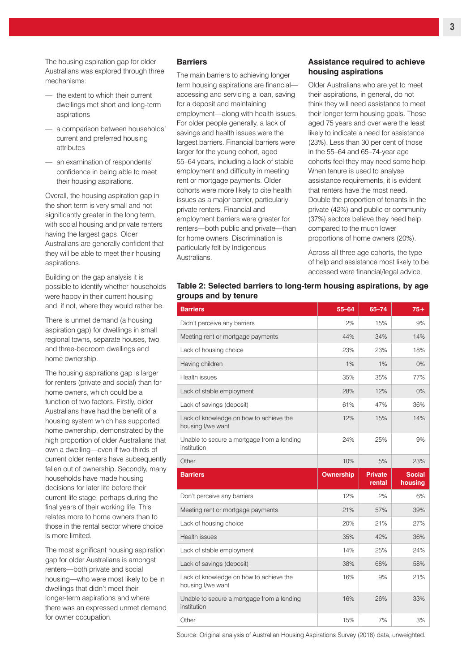The housing aspiration gap for older Australians was explored through three mechanisms:

- the extent to which their current dwellings met short and long-term aspirations
- a comparison between households' current and preferred housing attributes
- an examination of respondents' confidence in being able to meet their housing aspirations.

Overall, the housing aspiration gap in the short term is very small and not significantly greater in the long term, with social housing and private renters having the largest gaps. Older Australians are generally confident that they will be able to meet their housing aspirations.

Building on the gap analysis it is possible to identify whether households were happy in their current housing and, if not, where they would rather be.

There is unmet demand (a housing aspiration gap) for dwellings in small regional towns, separate houses, two and three-bedroom dwellings and home ownership.

The housing aspirations gap is larger for renters (private and social) than for home owners, which could be a function of two factors. Firstly, older Australians have had the benefit of a housing system which has supported home ownership, demonstrated by the high proportion of older Australians that own a dwelling—even if two-thirds of current older renters have subsequently fallen out of ownership. Secondly, many households have made housing decisions for later life before their current life stage, perhaps during the final years of their working life. This relates more to home owners than to those in the rental sector where choice is more limited.

The most significant housing aspiration gap for older Australians is amongst renters—both private and social housing—who were most likely to be in dwellings that didn't meet their longer-term aspirations and where there was an expressed unmet demand for owner occupation.

#### **Barriers**

The main barriers to achieving longer term housing aspirations are financial accessing and servicing a loan, saving for a deposit and maintaining employment—along with health issues. For older people generally, a lack of savings and health issues were the largest barriers. Financial barriers were larger for the young cohort, aged 55–64 years, including a lack of stable employment and difficulty in meeting rent or mortgage payments. Older cohorts were more likely to cite health issues as a major barrier, particularly private renters. Financial and employment barriers were greater for renters—both public and private—than for home owners. Discrimination is particularly felt by Indigenous Australians.

#### **Assistance required to achieve housing aspirations**

Older Australians who are yet to meet their aspirations, in general, do not think they will need assistance to meet their longer term housing goals. Those aged 75 years and over were the least likely to indicate a need for assistance (23%). Less than 30 per cent of those in the 55–64 and 65–74-year age cohorts feel they may need some help. When tenure is used to analyse assistance requirements, it is evident that renters have the most need. Double the proportion of tenants in the private (42%) and public or community (37%) sectors believe they need help compared to the much lower proportions of home owners (20%).

Across all three age cohorts, the type of help and assistance most likely to be accessed were financial/legal advice,

#### **Table 2: Selected barriers to long-term housing aspirations, by age groups and by tenure**

| <b>Barriers</b>                                              | $55 - 64$ | $65 - 74$                | $75+$                    |
|--------------------------------------------------------------|-----------|--------------------------|--------------------------|
| Didn't perceive any barriers                                 | 2%        | 15%                      | 9%                       |
| Meeting rent or mortgage payments                            | 44%       | 34%                      | 14%                      |
| Lack of housing choice                                       | 23%       | 23%                      | 18%                      |
| Having children                                              | 1%        | 1%                       | 0%                       |
| Health issues                                                | 35%       | 35%                      | 77%                      |
| Lack of stable employment                                    | 28%       | 12%                      | 0%                       |
| Lack of savings (deposit)                                    | 61%       | 47%                      | 36%                      |
| Lack of knowledge on how to achieve the<br>housing I/we want | 12%       | 15%                      | 14%                      |
| Unable to secure a mortgage from a lending<br>institution    | 24%       | 25%                      | 9%                       |
| Other                                                        | 10%       | 5%                       | 23%                      |
|                                                              |           |                          |                          |
| <b>Barriers</b>                                              | Ownership | <b>Private</b><br>rental | <b>Social</b><br>housing |
| Don't perceive any barriers                                  | 12%       | 2%                       | 6%                       |
| Meeting rent or mortgage payments                            | 21%       | 57%                      | 39%                      |
| Lack of housing choice                                       | 20%       | 21%                      | 27%                      |
| <b>Health issues</b>                                         | 35%       | 42%                      | 36%                      |
| Lack of stable employment                                    | 14%       | 25%                      | 24%                      |
| Lack of savings (deposit)                                    | 38%       | 68%                      | 58%                      |
| Lack of knowledge on how to achieve the<br>housing I/we want | 16%       | 9%                       | 21%                      |
| Unable to secure a mortgage from a lending<br>institution    | 16%       | 26%                      | 33%                      |

Source: Original analysis of Australian Housing Aspirations Survey (2018) data, unweighted.